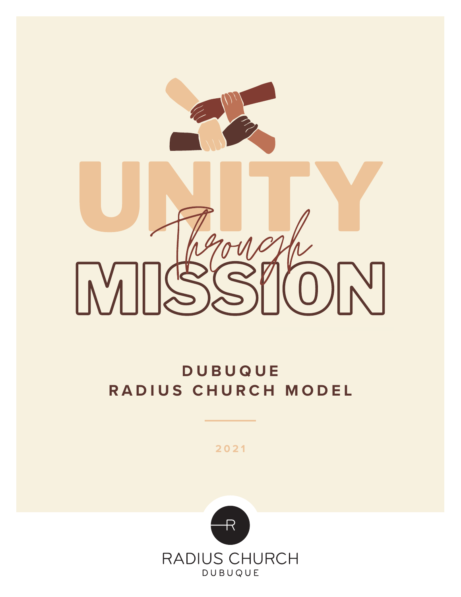

# **DUBUQUE RADIUS CHURCH MODEL**

**2021**

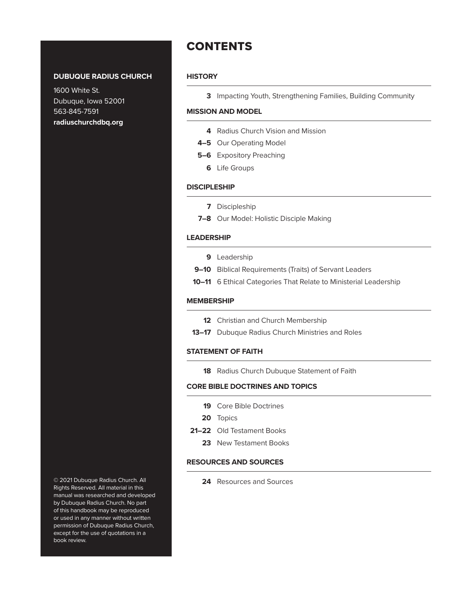## **DUBUQUE RADIUS CHURCH**

1600 White St. Dubuque, Iowa 52001 563-845-7591 **radiuschurchdbq.org**

**CONTENTS** 

#### **HISTORY**

**3** Impacting Youth, Strengthening Families, Building Community

#### **MISSION AND MODEL**

- **4** Radius Church Vision and Mission
- **4–5** Our Operating Model
- **5–6** Expository Preaching
	- **6** Life Groups

#### **DISCIPLESHIP**

- **7** Discipleship
- **7–8** Our Model: Holistic Disciple Making

#### **LEADERSHIP**

- **9** Leadership
- **9–10** Biblical Requirements (Traits) of Servant Leaders
- **10–11** 6 Ethical Categories That Relate to Ministerial Leadership

#### **MEMBERSHIP**

- **12** Christian and Church Membership
- **13–17** Dubuque Radius Church Ministries and Roles

#### **STATEMENT OF FAITH**

**18** Radius Church Dubuque Statement of Faith

#### **CORE BIBLE DOCTRINES AND TOPICS**

- **19** Core Bible Doctrines
- **20** Topics
- **21–22** Old Testament Books
	- **23** New Testament Books

## **RESOURCES AND SOURCES**

**24** Resources and Sources

© 2021 Dubuque Radius Church. All Rights Reserved. All material in this manual was researched and developed by Dubuque Radius Church. No part of this handbook may be reproduced or used in any manner without written permission of Dubuque Radius Church, except for the use of quotations in a book review.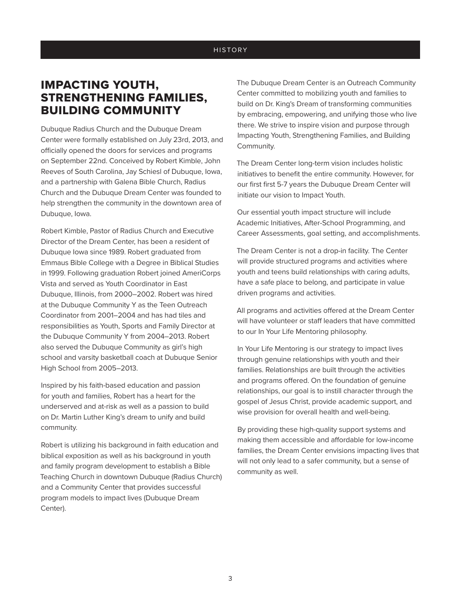### **HISTORY**

## IMPACTING YOUTH, STRENGTHENING FAMILIES, BUILDING COMMUNITY

Dubuque Radius Church and the Dubuque Dream Center were formally established on July 23rd, 2013, and officially opened the doors for services and programs on September 22nd. Conceived by Robert Kimble, John Reeves of South Carolina, Jay Schiesl of Dubuque, Iowa, and a partnership with Galena Bible Church, Radius Church and the Dubuque Dream Center was founded to help strengthen the community in the downtown area of Dubuque, Iowa.

Robert Kimble, Pastor of Radius Church and Executive Director of the Dream Center, has been a resident of Dubuque Iowa since 1989. Robert graduated from Emmaus Bible College with a Degree in Biblical Studies in 1999. Following graduation Robert joined AmeriCorps Vista and served as Youth Coordinator in East Dubuque, Illinois, from 2000–2002. Robert was hired at the Dubuque Community Y as the Teen Outreach Coordinator from 2001–2004 and has had tiles and responsibilities as Youth, Sports and Family Director at the Dubuque Community Y from 2004–2013. Robert also served the Dubuque Community as girl's high school and varsity basketball coach at Dubuque Senior High School from 2005–2013.

Inspired by his faith-based education and passion for youth and families, Robert has a heart for the underserved and at-risk as well as a passion to build on Dr. Martin Luther King's dream to unify and build community.

Robert is utilizing his background in faith education and biblical exposition as well as his background in youth and family program development to establish a Bible Teaching Church in downtown Dubuque (Radius Church) and a Community Center that provides successful program models to impact lives (Dubuque Dream Center).

The Dubuque Dream Center is an Outreach Community Center committed to mobilizing youth and families to build on Dr. King's Dream of transforming communities by embracing, empowering, and unifying those who live there. We strive to inspire vision and purpose through Impacting Youth, Strengthening Families, and Building Community.

The Dream Center long-term vision includes holistic initiatives to benefit the entire community. However, for our first first 5-7 years the Dubuque Dream Center will initiate our vision to Impact Youth.

Our essential youth impact structure will include Academic Initiatives, After-School Programming, and Career Assessments, goal setting, and accomplishments.

The Dream Center is not a drop-in facility. The Center will provide structured programs and activities where youth and teens build relationships with caring adults, have a safe place to belong, and participate in value driven programs and activities.

All programs and activities offered at the Dream Center will have volunteer or staff leaders that have committed to our In Your Life Mentoring philosophy.

In Your Life Mentoring is our strategy to impact lives through genuine relationships with youth and their families. Relationships are built through the activities and programs offered. On the foundation of genuine relationships, our goal is to instill character through the gospel of Jesus Christ, provide academic support, and wise provision for overall health and well-being.

By providing these high-quality support systems and making them accessible and affordable for low-income families, the Dream Center envisions impacting lives that will not only lead to a safer community, but a sense of community as well.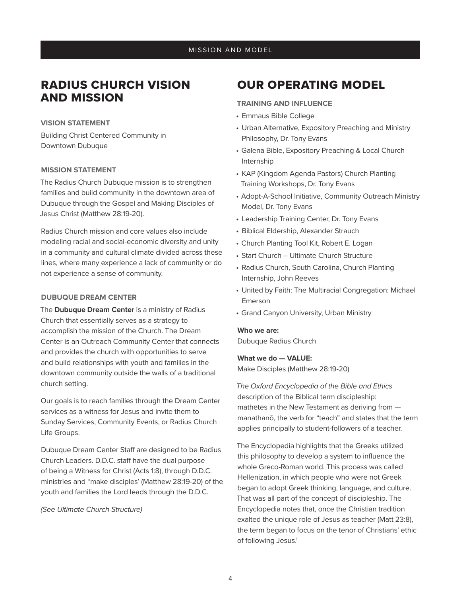## RADIUS CHURCH VISION AND MISSION

#### **VISION STATEMENT**

Building Christ Centered Community in Downtown Dubuque

#### **MISSION STATEMENT**

The Radius Church Dubuque mission is to strengthen families and build community in the downtown area of Dubuque through the Gospel and Making Disciples of Jesus Christ (Matthew 28:19-20).

Radius Church mission and core values also include modeling racial and social-economic diversity and unity in a community and cultural climate divided across these lines, where many experience a lack of community or do not experience a sense of community.

#### **DUBUQUE DREAM CENTER**

The **Dubuque Dream Center** is a ministry of Radius Church that essentially serves as a strategy to accomplish the mission of the Church. The Dream Center is an Outreach Community Center that connects and provides the church with opportunities to serve and build relationships with youth and families in the downtown community outside the walls of a traditional church setting.

Our goals is to reach families through the Dream Center services as a witness for Jesus and invite them to Sunday Services, Community Events, or Radius Church Life Groups.

Dubuque Dream Center Staff are designed to be Radius Church Leaders. D.D.C. staff have the dual purpose of being a Witness for Christ (Acts 1:8), through D.D.C. ministries and "make disciples' (Matthew 28:19-20) of the youth and families the Lord leads through the D.D.C.

*(See Ultimate Church Structure)* 

## OUR OPERATING MODEL

#### **TRAINING AND INFLUENCE**

- Emmaus Bible College
- Urban Alternative, Expository Preaching and Ministry Philosophy, Dr. Tony Evans
- Galena Bible, Expository Preaching & Local Church Internship
- KAP (Kingdom Agenda Pastors) Church Planting Training Workshops, Dr. Tony Evans
- Adopt-A-School Initiative, Community Outreach Ministry Model, Dr. Tony Evans
- Leadership Training Center, Dr. Tony Evans
- Biblical Eldership, Alexander Strauch
- Church Planting Tool Kit, Robert E. Logan
- Start Church Ultimate Church Structure
- Radius Church, South Carolina, Church Planting Internship, John Reeves
- United by Faith: The Multiracial Congregation: Michael Emerson
- Grand Canyon University, Urban Ministry

#### **Who we are:**

Dubuque Radius Church

#### **What we do — VALUE:**

Make Disciples (Matthew 28:19-20)

*The Oxford Encyclopedia of the Bible and Ethics*  description of the Biblical term discipleship: mathētēs in the New Testament as deriving from manathanō, the verb for "teach" and states that the term applies principally to student-followers of a teacher.

The Encyclopedia highlights that the Greeks utilized this philosophy to develop a system to influence the whole Greco-Roman world. This process was called Hellenization, in which people who were not Greek began to adopt Greek thinking, language, and culture. That was all part of the concept of discipleship. The Encyclopedia notes that, once the Christian tradition exalted the unique role of Jesus as teacher (Matt 23:8), the term began to focus on the tenor of Christians' ethic of following Jesus.<sup>1</sup>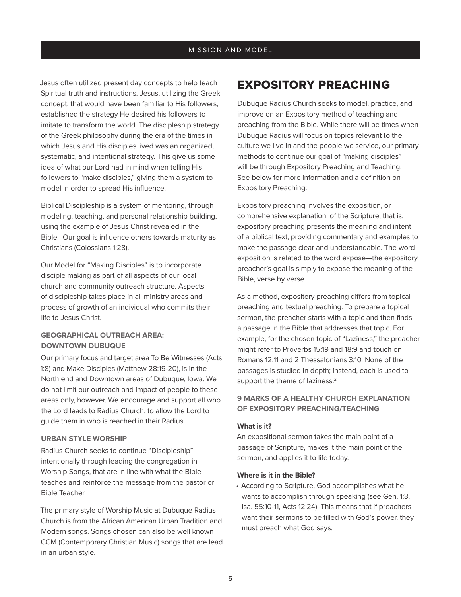Jesus often utilized present day concepts to help teach Spiritual truth and instructions. Jesus, utilizing the Greek concept, that would have been familiar to His followers, established the strategy He desired his followers to imitate to transform the world. The discipleship strategy of the Greek philosophy during the era of the times in which Jesus and His disciples lived was an organized, systematic, and intentional strategy. This give us some idea of what our Lord had in mind when telling His followers to "make disciples," giving them a system to model in order to spread His influence.

Biblical Discipleship is a system of mentoring, through modeling, teaching, and personal relationship building, using the example of Jesus Christ revealed in the Bible. Our goal is influence others towards maturity as Christians (Colossians 1:28).

Our Model for "Making Disciples" is to incorporate disciple making as part of all aspects of our local church and community outreach structure. Aspects of discipleship takes place in all ministry areas and process of growth of an individual who commits their life to Jesus Christ.

## **GEOGRAPHICAL OUTREACH AREA: DOWNTOWN DUBUQUE**

Our primary focus and target area To Be Witnesses (Acts 1:8) and Make Disciples (Matthew 28:19-20), is in the North end and Downtown areas of Dubuque, Iowa. We do not limit our outreach and impact of people to these areas only, however. We encourage and support all who the Lord leads to Radius Church, to allow the Lord to guide them in who is reached in their Radius.

#### **URBAN STYLE WORSHIP**

Radius Church seeks to continue "Discipleship" intentionally through leading the congregation in Worship Songs, that are in line with what the Bible teaches and reinforce the message from the pastor or Bible Teacher.

The primary style of Worship Music at Dubuque Radius Church is from the African American Urban Tradition and Modern songs. Songs chosen can also be well known CCM (Contemporary Christian Music) songs that are lead in an urban style.

## EXPOSITORY PREACHING

Dubuque Radius Church seeks to model, practice, and improve on an Expository method of teaching and preaching from the Bible. While there will be times when Dubuque Radius will focus on topics relevant to the culture we live in and the people we service, our primary methods to continue our goal of "making disciples" will be through Expository Preaching and Teaching. See below for more information and a definition on Expository Preaching:

Expository preaching involves the exposition, or comprehensive explanation, of the Scripture; that is, expository preaching presents the meaning and intent of a biblical text, providing commentary and examples to make the passage clear and understandable. The word exposition is related to the word expose—the expository preacher's goal is simply to expose the meaning of the Bible, verse by verse.

As a method, expository preaching differs from topical preaching and textual preaching. To prepare a topical sermon, the preacher starts with a topic and then finds a passage in the Bible that addresses that topic. For example, for the chosen topic of "Laziness," the preacher might refer to Proverbs 15:19 and 18:9 and touch on Romans 12:11 and 2 Thessalonians 3:10. None of the passages is studied in depth; instead, each is used to support the theme of laziness.<sup>2</sup>

## **9 MARKS OF A HEALTHY CHURCH EXPLANATION OF EXPOSITORY PREACHING/TEACHING**

#### **What is it?**

An expositional sermon takes the main point of a passage of Scripture, makes it the main point of the sermon, and applies it to life today.

#### **Where is it in the Bible?**

• According to Scripture, God accomplishes what he wants to accomplish through speaking (see Gen. 1:3, Isa. 55:10-11, Acts 12:24). This means that if preachers want their sermons to be filled with God's power, they must preach what God says.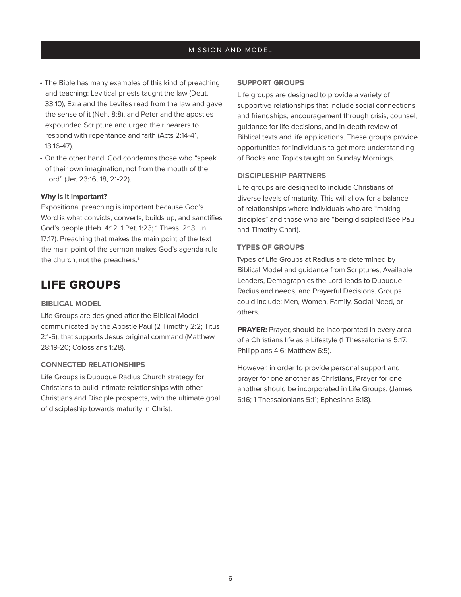- The Bible has many examples of this kind of preaching and teaching: Levitical priests taught the law (Deut. 33:10), Ezra and the Levites read from the law and gave the sense of it (Neh. 8:8), and Peter and the apostles expounded Scripture and urged their hearers to respond with repentance and faith (Acts 2:14-41, 13:16-47).
- On the other hand, God condemns those who "speak of their own imagination, not from the mouth of the Lord" (Jer. 23:16, 18, 21-22).

#### **Why is it important?**

Expositional preaching is important because God's Word is what convicts, converts, builds up, and sanctifies God's people (Heb. 4:12; 1 Pet. 1:23; 1 Thess. 2:13; Jn. 17:17). Preaching that makes the main point of the text the main point of the sermon makes God's agenda rule the church, not the preachers.<sup>3</sup>

## LIFE GROUPS

#### **BIBLICAL MODEL**

Life Groups are designed after the Biblical Model communicated by the Apostle Paul (2 Timothy 2:2; Titus 2:1-5), that supports Jesus original command (Matthew 28:19-20; Colossians 1:28).

### **CONNECTED RELATIONSHIPS**

Life Groups is Dubuque Radius Church strategy for Christians to build intimate relationships with other Christians and Disciple prospects, with the ultimate goal of discipleship towards maturity in Christ.

#### **SUPPORT GROUPS**

Life groups are designed to provide a variety of supportive relationships that include social connections and friendships, encouragement through crisis, counsel, guidance for life decisions, and in-depth review of Biblical texts and life applications. These groups provide opportunities for individuals to get more understanding of Books and Topics taught on Sunday Mornings.

#### **DISCIPLESHIP PARTNERS**

Life groups are designed to include Christians of diverse levels of maturity. This will allow for a balance of relationships where individuals who are "making disciples" and those who are "being discipled (See Paul and Timothy Chart).

#### **TYPES OF GROUPS**

Types of Life Groups at Radius are determined by Biblical Model and guidance from Scriptures, Available Leaders, Demographics the Lord leads to Dubuque Radius and needs, and Prayerful Decisions. Groups could include: Men, Women, Family, Social Need, or others.

**PRAYER:** Prayer, should be incorporated in every area of a Christians life as a Lifestyle (1 Thessalonians 5:17; Philippians 4:6; Matthew 6:5).

However, in order to provide personal support and prayer for one another as Christians, Prayer for one another should be incorporated in Life Groups. (James 5:16; 1 Thessalonians 5:11; Ephesians 6:18).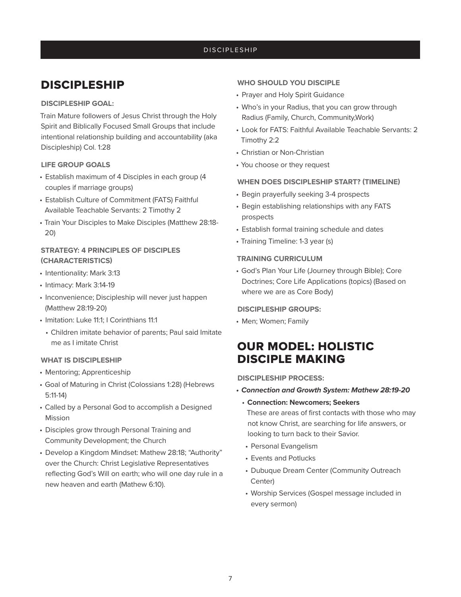## DISCIPLESHIP

## DISCIPLESHIP

#### **DISCIPLESHIP GOAL:**

Train Mature followers of Jesus Christ through the Holy Spirit and Biblically Focused Small Groups that include intentional relationship building and accountability (aka Discipleship) Col. 1:28

#### **LIFE GROUP GOALS**

- Establish maximum of 4 Disciples in each group (4 couples if marriage groups)
- Establish Culture of Commitment (FATS) Faithful Available Teachable Servants: 2 Timothy 2
- Train Your Disciples to Make Disciples (Matthew 28:18- 20)

## **STRATEGY: 4 PRINCIPLES OF DISCIPLES (CHARACTERISTICS)**

- Intentionality: Mark 3:13
- Intimacy: Mark 3:14-19
- Inconvenience; Discipleship will never just happen (Matthew 28:19-20)
- Imitation: Luke 11:1; I Corinthians 11:1
	- Children imitate behavior of parents; Paul said Imitate me as I imitate Christ

#### **WHAT IS DISCIPLESHIP**

- Mentoring; Apprenticeship
- Goal of Maturing in Christ (Colossians 1:28) (Hebrews 5:11-14)
- Called by a Personal God to accomplish a Designed Mission
- Disciples grow through Personal Training and Community Development; the Church
- Develop a Kingdom Mindset: Mathew 28:18; "Authority" over the Church: Christ Legislative Representatives reflecting God's Will on earth; who will one day rule in a new heaven and earth (Mathew 6:10).

#### **WHO SHOULD YOU DISCIPLE**

- Prayer and Holy Spirit Guidance
- Who's in your Radius, that you can grow through Radius (Family, Church, Community,Work)
- Look for FATS: Faithful Available Teachable Servants: 2 Timothy 2:2
- Christian or Non-Christian
- You choose or they request

#### **WHEN DOES DISCIPLESHIP START? (TIMELINE)**

- Begin prayerfully seeking 3-4 prospects
- Begin establishing relationships with any FATS prospects
- Establish formal training schedule and dates
- Training Timeline: 1-3 year (s)

#### **TRAINING CURRICULUM**

• God's Plan Your Life (Journey through Bible); Core Doctrines; Core Life Applications (topics) (Based on where we are as Core Body)

#### **DISCIPLESHIP GROUPS:**

• Men; Women; Family

## OUR MODEL: HOLISTIC DISCIPLE MAKING

#### **DISCIPLESHIP PROCESS:**

- *• Connection and Growth System: Mathew 28:19-20*
	- **Connection: Newcomers; Seekers**

These are areas of first contacts with those who may not know Christ, are searching for life answers, or looking to turn back to their Savior.

- Personal Evangelism
- Events and Potlucks
- Dubuque Dream Center (Community Outreach Center)
- Worship Services (Gospel message included in every sermon)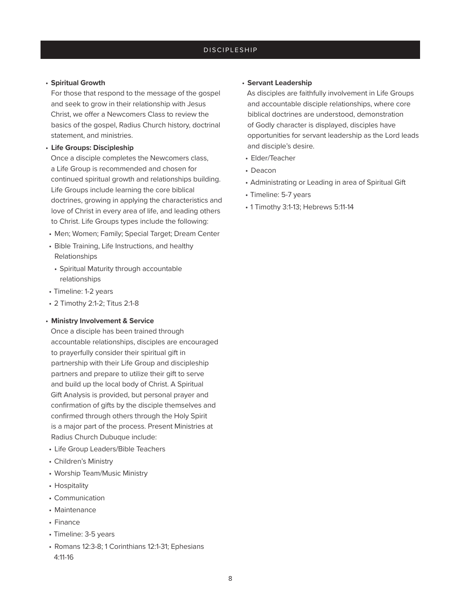#### • **Spiritual Growth**

For those that respond to the message of the gospel and seek to grow in their relationship with Jesus Christ, we offer a Newcomers Class to review the basics of the gospel, Radius Church history, doctrinal statement, and ministries.

#### • **Life Groups: Discipleship**

Once a disciple completes the Newcomers class, a Life Group is recommended and chosen for continued spiritual growth and relationships building. Life Groups include learning the core biblical doctrines, growing in applying the characteristics and love of Christ in every area of life, and leading others to Christ. Life Groups types include the following:

- Men; Women; Family; Special Target; Dream Center
- Bible Training, Life Instructions, and healthy Relationships
- Spiritual Maturity through accountable relationships
- Timeline: 1-2 years
- 2 Timothy 2:1-2; Titus 2:1-8

### • **Ministry Involvement & Service**

Once a disciple has been trained through accountable relationships, disciples are encouraged to prayerfully consider their spiritual gift in partnership with their Life Group and discipleship partners and prepare to utilize their gift to serve and build up the local body of Christ. A Spiritual Gift Analysis is provided, but personal prayer and confirmation of gifts by the disciple themselves and confirmed through others through the Holy Spirit is a major part of the process. Present Ministries at Radius Church Dubuque include:

- Life Group Leaders/Bible Teachers
- Children's Ministry
- Worship Team/Music Ministry
- Hospitality
- Communication
- Maintenance
- Finance
- Timeline: 3-5 years
- Romans 12:3-8; 1 Corinthians 12:1-31; Ephesians 4:11-16

### • **Servant Leadership**

As disciples are faithfully involvement in Life Groups and accountable disciple relationships, where core biblical doctrines are understood, demonstration of Godly character is displayed, disciples have opportunities for servant leadership as the Lord leads and disciple's desire.

- Elder/Teacher
- Deacon
- Administrating or Leading in area of Spiritual Gift
- Timeline: 5-7 years
- 1 Timothy 3:1-13; Hebrews 5:11-14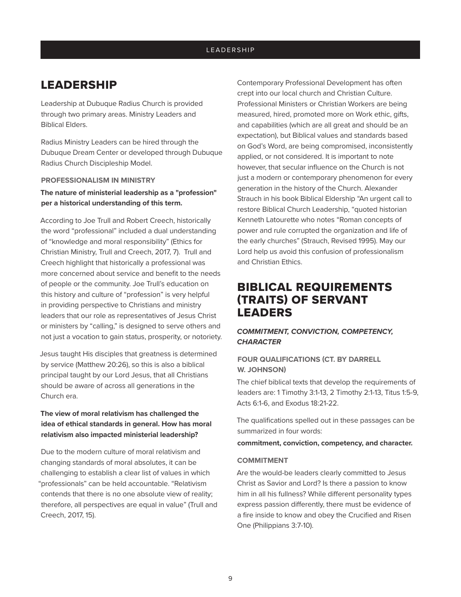## LEADERSHIP

Leadership at Dubuque Radius Church is provided through two primary areas. Ministry Leaders and Biblical Elders.

Radius Ministry Leaders can be hired through the Dubuque Dream Center or developed through Dubuque Radius Church Discipleship Model.

#### **PROFESSIONALISM IN MINISTRY**

**The nature of ministerial leadership as a "profession" per a historical understanding of this term.**

According to Joe Trull and Robert Creech, historically the word "professional" included a dual understanding of "knowledge and moral responsibility" (Ethics for Christian Ministry, Trull and Creech, 2017, 7). Trull and Creech highlight that historically a professional was more concerned about service and benefit to the needs of people or the community. Joe Trull's education on this history and culture of "profession" is very helpful in providing perspective to Christians and ministry leaders that our role as representatives of Jesus Christ or ministers by "calling," is designed to serve others and not just a vocation to gain status, prosperity, or notoriety.

Jesus taught His disciples that greatness is determined by service (Matthew 20:26), so this is also a biblical principal taught by our Lord Jesus, that all Christians should be aware of across all generations in the Church era.

## **The view of moral relativism has challenged the idea of ethical standards in general. How has moral relativism also impacted ministerial leadership?**

Due to the modern culture of moral relativism and changing standards of moral absolutes, it can be challenging to establish a clear list of values in which "professionals" can be held accountable. "Relativism contends that there is no one absolute view of reality; therefore, all perspectives are equal in value" (Trull and Creech, 2017, 15).

Contemporary Professional Development has often crept into our local church and Christian Culture. Professional Ministers or Christian Workers are being measured, hired, promoted more on Work ethic, gifts, and capabilities (which are all great and should be an expectation), but Biblical values and standards based on God's Word, are being compromised, inconsistently applied, or not considered. It is important to note however, that secular influence on the Church is not just a modern or contemporary phenomenon for every generation in the history of the Church. Alexander Strauch in his book Biblical Eldership "An urgent call to restore Biblical Church Leadership, "quoted historian Kenneth Latourette who notes "Roman concepts of power and rule corrupted the organization and life of the early churches" (Strauch, Revised 1995). May our Lord help us avoid this confusion of professionalism and Christian Ethics.

## BIBLICAL REQUIREMENTS (TRAITS) OF SERVANT LEADERS

## *COMMITMENT, CONVICTION, COMPETENCY, CHARACTER*

## **FOUR QUALIFICATIONS (CT. BY DARRELL W. JOHNSON)**

The chief biblical texts that develop the requirements of leaders are: 1 Timothy 3:1-13, 2 Timothy 2:1-13, Titus 1:5-9, Acts 6:1-6, and Exodus 18:21-22.

The qualifications spelled out in these passages can be summarized in four words:

**commitment, conviction, competency, and character.**

#### **COMMITMENT**

Are the would-be leaders clearly committed to Jesus Christ as Savior and Lord? Is there a passion to know him in all his fullness? While different personality types express passion differently, there must be evidence of a fire inside to know and obey the Crucified and Risen One (Philippians 3:7-10).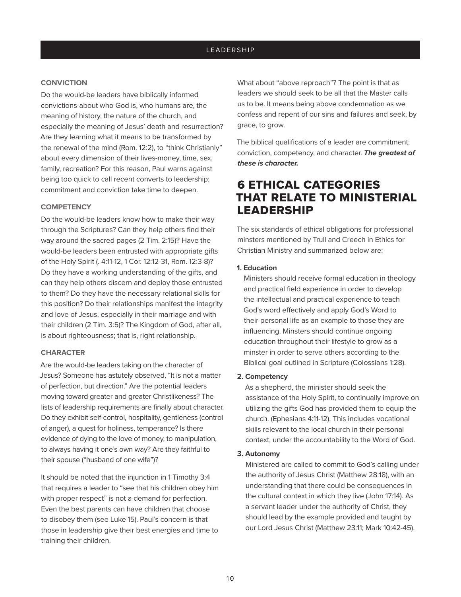### **CONVICTION**

Do the would-be leaders have biblically informed convictions-about who God is, who humans are, the meaning of history, the nature of the church, and especially the meaning of Jesus' death and resurrection? Are they learning what it means to be transformed by the renewal of the mind (Rom. 12:2), to "think Christianly" about every dimension of their lives-money, time, sex, family, recreation? For this reason, Paul warns against being too quick to call recent converts to leadership; commitment and conviction take time to deepen.

#### **COMPETENCY**

Do the would-be leaders know how to make their way through the Scriptures? Can they help others find their way around the sacred pages (2 Tim. 2:15)? Have the would-be leaders been entrusted with appropriate gifts of the Holy Spirit (. 4:11-12, 1 Cor. 12:12-31, Rom. 12:3-8)? Do they have a working understanding of the gifts, and can they help others discern and deploy those entrusted to them? Do they have the necessary relational skills for this position? Do their relationships manifest the integrity and love of Jesus, especially in their marriage and with their children (2 Tim. 3:5)? The Kingdom of God, after all, is about righteousness; that is, right relationship.

#### **CHARACTER**

Are the would-be leaders taking on the character of Jesus? Someone has astutely observed, "It is not a matter of perfection, but direction." Are the potential leaders moving toward greater and greater Christlikeness? The lists of leadership requirements are finally about character. Do they exhibit self-control, hospitality, gentleness (control of anger), a quest for holiness, temperance? Is there evidence of dying to the love of money, to manipulation, to always having it one's own way? Are they faithful to their spouse ("husband of one wife")?

It should be noted that the injunction in 1 Timothy 3:4 that requires a leader to "see that his children obey him with proper respect" is not a demand for perfection. Even the best parents can have children that choose to disobey them (see Luke 15). Paul's concern is that those in leadership give their best energies and time to training their children.

What about "above reproach"? The point is that as leaders we should seek to be all that the Master calls us to be. It means being above condemnation as we confess and repent of our sins and failures and seek, by grace, to grow.

The biblical qualifications of a leader are commitment, conviction, competency, and character. *The greatest of these is character.*

## 6 ETHICAL CATEGORIES THAT RELATE TO MINISTERIAL LEADERSHIP

The six standards of ethical obligations for professional minsters mentioned by Trull and Creech in Ethics for Christian Ministry and summarized below are:

#### **1. Education**

Ministers should receive formal education in theology and practical field experience in order to develop the intellectual and practical experience to teach God's word effectively and apply God's Word to their personal life as an example to those they are influencing. Minsters should continue ongoing education throughout their lifestyle to grow as a minster in order to serve others according to the Biblical goal outlined in Scripture (Colossians 1:28).

#### **2. Competency**

As a shepherd, the minister should seek the assistance of the Holy Spirit, to continually improve on utilizing the gifts God has provided them to equip the church. (Ephesians 4:11-12). This includes vocational skills relevant to the local church in their personal context, under the accountability to the Word of God.

#### **3. Autonomy**

Ministered are called to commit to God's calling under the authority of Jesus Christ (Matthew 28:18), with an understanding that there could be consequences in the cultural context in which they live (John 17:14). As a servant leader under the authority of Christ, they should lead by the example provided and taught by our Lord Jesus Christ (Matthew 23:11; Mark 10:42-45).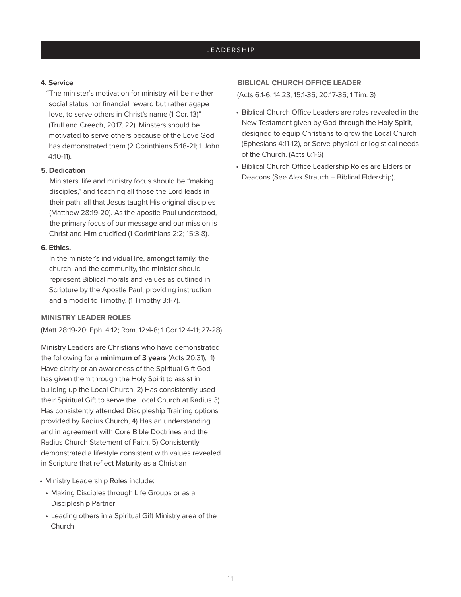#### **4. Service**

"The minister's motivation for ministry will be neither social status nor financial reward but rather agape love, to serve others in Christ's name (1 Cor. 13)" (Trull and Creech, 2017, 22). Minsters should be motivated to serve others because of the Love God has demonstrated them (2 Corinthians 5:18-21; 1 John 4:10-11).

#### **5. Dedication**

Ministers' life and ministry focus should be "making disciples," and teaching all those the Lord leads in their path, all that Jesus taught His original disciples (Matthew 28:19-20). As the apostle Paul understood, the primary focus of our message and our mission is Christ and Him crucified (1 Corinthians 2:2; 15:3-8).

#### **6. Ethics.**

In the minister's individual life, amongst family, the church, and the community, the minister should represent Biblical morals and values as outlined in Scripture by the Apostle Paul, providing instruction and a model to Timothy. (1 Timothy 3:1-7).

#### **MINISTRY LEADER ROLES**

(Matt 28:19-20; Eph. 4:12; Rom. 12:4-8; 1 Cor 12:4-11; 27-28)

Ministry Leaders are Christians who have demonstrated the following for a **minimum of 3 years** (Acts 20:31), 1) Have clarity or an awareness of the Spiritual Gift God has given them through the Holy Spirit to assist in building up the Local Church, 2) Has consistently used their Spiritual Gift to serve the Local Church at Radius 3) Has consistently attended Discipleship Training options provided by Radius Church, 4) Has an understanding and in agreement with Core Bible Doctrines and the Radius Church Statement of Faith, 5) Consistently demonstrated a lifestyle consistent with values revealed in Scripture that reflect Maturity as a Christian

- Ministry Leadership Roles include:
- Making Disciples through Life Groups or as a Discipleship Partner
- Leading others in a Spiritual Gift Ministry area of the Church

#### **BIBLICAL CHURCH OFFICE LEADER**

(Acts 6:1-6; 14:23; 15:1-35; 20:17-35; 1 Tim. 3)

- Biblical Church Office Leaders are roles revealed in the New Testament given by God through the Holy Spirit, designed to equip Christians to grow the Local Church (Ephesians 4:11-12), or Serve physical or logistical needs of the Church. (Acts 6:1-6)
- Biblical Church Office Leadership Roles are Elders or Deacons (See Alex Strauch – Biblical Eldership).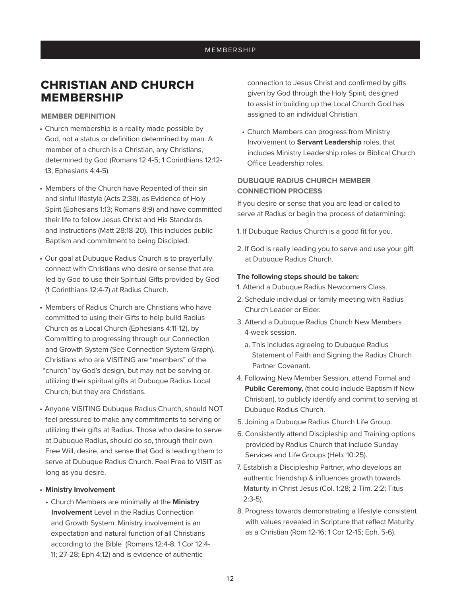### MEMBERSHIP

## CHRISTIAN AND CHURCH MEMBERSHIP

#### **MEMBER DEFINITION**

- Church membership is a reality made possible by God, not a status or definition determined by man. A member of a church is a Christian, any Christians, determined by God (Romans 12:4-5; 1 Corinthians 12:12- 13; Ephesians 4:4-5).
- Members of the Church have Repented of their sin and sinful lifestyle (Acts 2:38), as Evidence of Holy Spirit (Ephesians 1:13; Romans 8:9) and have committed their life to follow Jesus Christ and His Standards and Instructions (Matt 28:18-20). This includes public Baptism and commitment to being Discipled.
- Our goal at Dubuque Radius Church is to prayerfully connect with Christians who desire or sense that are led by God to use their Spiritual Gifts provided by God (1 Corinthians 12:4-7) at Radius Church.
- Members of Radius Church are Christians who have committed to using their Gifts to help build Radius Church as a Local Church (Ephesians 4:11-12), by Committing to progressing through our Connection and Growth System (See Connection System Graph). Christians who are VISITING are "members" of the "church" by God's design, but may not be serving or
- utilizing their spiritual gifts at Dubuque Radius Local Church, but they are Christians.
- Anyone VISITING Dubuque Radius Church, should NOT feel pressured to make any commitments to serving or utilizing their gifts at Radius. Those who desire to serve at Dubuque Radius, should do so, through their own Free Will, desire, and sense that God is leading them to serve at Dubuque Radius Church. Feel Free to VISIT as long as you desire.

#### • **Ministry Involvement**

• Church Members are minimally at the **Ministry Involvement** Level in the Radius Connection and Growth System. Ministry involvement is an expectation and natural function of all Christians according to the Bible (Romans 12:4-8; 1 Cor 12:4- 11; 27-28; Eph 4:12) and is evidence of authentic

connection to Jesus Christ and confirmed by gifts given by God through the Holy Spirit, designed to assist in building up the Local Church God has assigned to an individual Christian.

• Church Members can progress from Ministry Involvement to **Servant Leadership** roles, that includes Ministry Leadership roles or Biblical Church Office Leadership roles.

## **DUBUQUE RADIUS CHURCH MEMBER CONNECTION PROCESS**

If you desire or sense that you are lead or called to serve at Radius or begin the process of determining:

- 1. If Dubuque Radius Church is a good fit for you.
- 2. If God is really leading you to serve and use your gift at Dubuque Radius Church.

#### **The following steps should be taken:**

1. Attend a Dubuque Radius Newcomers Class.

- 2. Schedule individual or family meeting with Radius Church Leader or Elder.
- 3. Attend a Dubuque Radius Church New Members 4-week session.
	- a. This includes agreeing to Dubuque Radius Statement of Faith and Signing the Radius Church Partner Covenant.
- 4. Following New Member Session, attend Formal and **Public Ceremony,** (that could include Baptism if New Christian), to publicly identify and commit to serving at Dubuque Radius Church.
- 5. Joining a Dubuque Radius Church Life Group.
- 6. Consistently attend Discipleship and Training options provided by Radius Church that include Sunday Services and Life Groups (Heb. 10:25).
- 7. Establish a Discipleship Partner, who develops an authentic friendship & influences growth towards Maturity in Christ Jesus (Col. 1:28; 2 Tim. 2:2; Titus 2:3-5).
- 8. Progress towards demonstrating a lifestyle consistent with values revealed in Scripture that reflect Maturity as a Christian (Rom 12-16; 1 Cor 12-15; Eph. 5-6).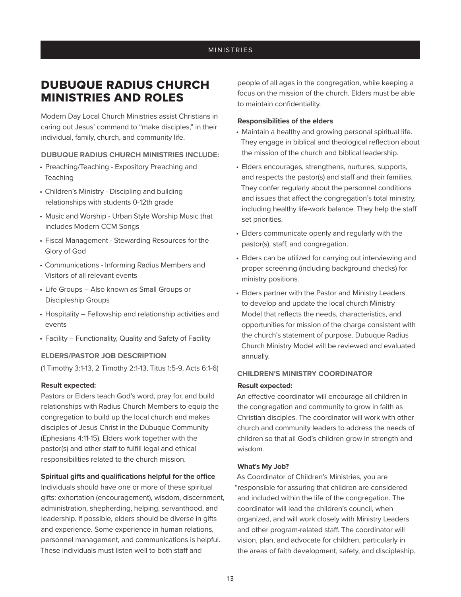## DUBUQUE RADIUS CHURCH MINISTRIES AND ROLES

Modern Day Local Church Ministries assist Christians in caring out Jesus' command to "make disciples," in their individual, family, church, and community life.

### **DUBUQUE RADIUS CHURCH MINISTRIES INCLUDE:**

- Preaching/Teaching Expository Preaching and Teaching
- Children's Ministry Discipling and building relationships with students 0-12th grade
- Music and Worship Urban Style Worship Music that includes Modern CCM Songs
- Fiscal Management Stewarding Resources for the Glory of God
- Communications Informing Radius Members and Visitors of all relevant events
- Life Groups Also known as Small Groups or Discipleship Groups
- Hospitality Fellowship and relationship activities and events
- Facility Functionality, Quality and Safety of Facility

#### **ELDERS/PASTOR JOB DESCRIPTION**

(1 Timothy 3:1-13, 2 Timothy 2:1-13, Titus 1:5-9, Acts 6:1-6)

#### **Result expected:**

Pastors or Elders teach God's word, pray for, and build relationships with Radius Church Members to equip the congregation to build up the local church and makes disciples of Jesus Christ in the Dubuque Community (Ephesians 4:11-15). Elders work together with the pastor(s) and other staff to fulfill legal and ethical responsibilities related to the church mission.

#### **Spiritual gifts and qualifications helpful for the office**

Individuals should have one or more of these spiritual gifts: exhortation (encouragement), wisdom, discernment, administration, shepherding, helping, servanthood, and leadership. If possible, elders should be diverse in gifts and experience. Some experience in human relations, personnel management, and communications is helpful. These individuals must listen well to both staff and

people of all ages in the congregation, while keeping a focus on the mission of the church. Elders must be able to maintain confidentiality.

#### **Responsibilities of the elders**

- Maintain a healthy and growing personal spiritual life. They engage in biblical and theological reflection about the mission of the church and biblical leadership.
- Elders encourages, strengthens, nurtures, supports, and respects the pastor(s) and staff and their families. They confer regularly about the personnel conditions and issues that affect the congregation's total ministry, including healthy life-work balance. They help the staff set priorities.
- Elders communicate openly and regularly with the pastor(s), staff, and congregation.
- Elders can be utilized for carrying out interviewing and proper screening (including background checks) for ministry positions.
- Elders partner with the Pastor and Ministry Leaders to develop and update the local church Ministry Model that reflects the needs, characteristics, and opportunities for mission of the charge consistent with the church's statement of purpose. Dubuque Radius Church Ministry Model will be reviewed and evaluated annually.

#### **CHILDREN'S MINISTRY COORDINATOR**

#### **Result expected:**

An effective coordinator will encourage all children in the congregation and community to grow in faith as Christian disciples. The coordinator will work with other church and community leaders to address the needs of children so that all God's children grow in strength and wisdom.

#### **What's My Job?**

As Coordinator of Children's Ministries, you are "responsible for assuring that children are considered and included within the life of the congregation. The coordinator will lead the children's council, when organized, and will work closely with Ministry Leaders and other program-related staff. The coordinator will vision, plan, and advocate for children, particularly in the areas of faith development, safety, and discipleship.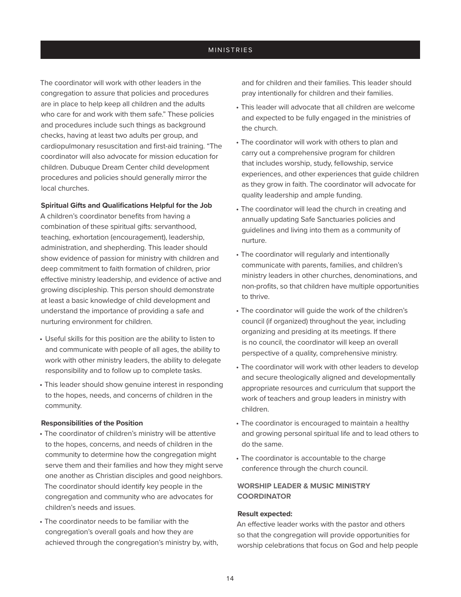The coordinator will work with other leaders in the congregation to assure that policies and procedures are in place to help keep all children and the adults who care for and work with them safe." These policies and procedures include such things as background checks, having at least two adults per group, and cardiopulmonary resuscitation and first-aid training. "The coordinator will also advocate for mission education for children. Dubuque Dream Center child development procedures and policies should generally mirror the local churches.

#### **Spiritual Gifts and Qualifications Helpful for the Job**

A children's coordinator benefits from having a combination of these spiritual gifts: servanthood, teaching, exhortation (encouragement), leadership, administration, and shepherding. This leader should show evidence of passion for ministry with children and deep commitment to faith formation of children, prior effective ministry leadership, and evidence of active and growing discipleship. This person should demonstrate at least a basic knowledge of child development and understand the importance of providing a safe and nurturing environment for children.

- Useful skills for this position are the ability to listen to and communicate with people of all ages, the ability to work with other ministry leaders, the ability to delegate responsibility and to follow up to complete tasks.
- This leader should show genuine interest in responding to the hopes, needs, and concerns of children in the community.

#### **Responsibilities of the Position**

- The coordinator of children's ministry will be attentive to the hopes, concerns, and needs of children in the community to determine how the congregation might serve them and their families and how they might serve one another as Christian disciples and good neighbors. The coordinator should identify key people in the congregation and community who are advocates for children's needs and issues.
- The coordinator needs to be familiar with the congregation's overall goals and how they are achieved through the congregation's ministry by, with,

and for children and their families. This leader should pray intentionally for children and their families.

- This leader will advocate that all children are welcome and expected to be fully engaged in the ministries of the church.
- The coordinator will work with others to plan and carry out a comprehensive program for children that includes worship, study, fellowship, service experiences, and other experiences that guide children as they grow in faith. The coordinator will advocate for quality leadership and ample funding.
- The coordinator will lead the church in creating and annually updating Safe Sanctuaries policies and guidelines and living into them as a community of nurture.
- The coordinator will regularly and intentionally communicate with parents, families, and children's ministry leaders in other churches, denominations, and non-profits, so that children have multiple opportunities to thrive.
- The coordinator will guide the work of the children's council (if organized) throughout the year, including organizing and presiding at its meetings. If there is no council, the coordinator will keep an overall perspective of a quality, comprehensive ministry.
- The coordinator will work with other leaders to develop and secure theologically aligned and developmentally appropriate resources and curriculum that support the work of teachers and group leaders in ministry with children.
- The coordinator is encouraged to maintain a healthy and growing personal spiritual life and to lead others to do the same.
- The coordinator is accountable to the charge conference through the church council.

## **WORSHIP LEADER & MUSIC MINISTRY COORDINATOR**

### **Result expected:**

An effective leader works with the pastor and others so that the congregation will provide opportunities for worship celebrations that focus on God and help people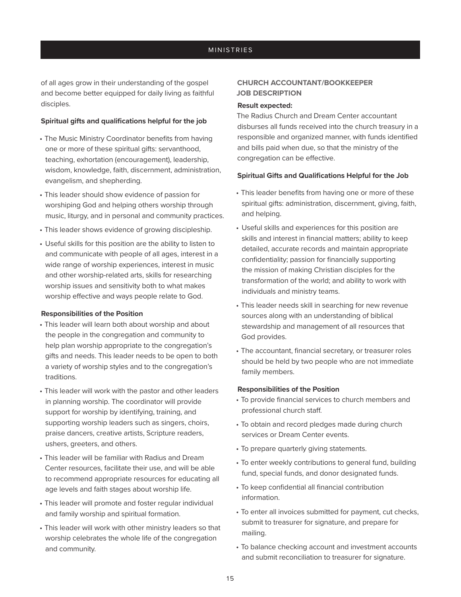of all ages grow in their understanding of the gospel and become better equipped for daily living as faithful disciples.

#### **Spiritual gifts and qualifications helpful for the job**

- The Music Ministry Coordinator benefits from having one or more of these spiritual gifts: servanthood, teaching, exhortation (encouragement), leadership, wisdom, knowledge, faith, discernment, administration, evangelism, and shepherding.
- This leader should show evidence of passion for worshiping God and helping others worship through music, liturgy, and in personal and community practices.
- This leader shows evidence of growing discipleship.
- Useful skills for this position are the ability to listen to and communicate with people of all ages, interest in a wide range of worship experiences, interest in music and other worship-related arts, skills for researching worship issues and sensitivity both to what makes worship effective and ways people relate to God.

#### **Responsibilities of the Position**

- This leader will learn both about worship and about the people in the congregation and community to help plan worship appropriate to the congregation's gifts and needs. This leader needs to be open to both a variety of worship styles and to the congregation's traditions.
- This leader will work with the pastor and other leaders in planning worship. The coordinator will provide support for worship by identifying, training, and supporting worship leaders such as singers, choirs, praise dancers, creative artists, Scripture readers, ushers, greeters, and others.
- This leader will be familiar with Radius and Dream Center resources, facilitate their use, and will be able to recommend appropriate resources for educating all age levels and faith stages about worship life.
- This leader will promote and foster regular individual and family worship and spiritual formation.
- This leader will work with other ministry leaders so that worship celebrates the whole life of the congregation and community.

## **CHURCH ACCOUNTANT/BOOKKEEPER JOB DESCRIPTION**

#### **Result expected:**

The Radius Church and Dream Center accountant disburses all funds received into the church treasury in a responsible and organized manner, with funds identified and bills paid when due, so that the ministry of the congregation can be effective.

#### **Spiritual Gifts and Qualifications Helpful for the Job**

- This leader benefits from having one or more of these spiritual gifts: administration, discernment, giving, faith, and helping.
- Useful skills and experiences for this position are skills and interest in financial matters; ability to keep detailed, accurate records and maintain appropriate confidentiality; passion for financially supporting the mission of making Christian disciples for the transformation of the world; and ability to work with individuals and ministry teams.
- This leader needs skill in searching for new revenue sources along with an understanding of biblical stewardship and management of all resources that God provides.
- The accountant, financial secretary, or treasurer roles should be held by two people who are not immediate family members.

#### **Responsibilities of the Position**

- To provide financial services to church members and professional church staff.
- To obtain and record pledges made during church services or Dream Center events.
- To prepare quarterly giving statements.
- To enter weekly contributions to general fund, building fund, special funds, and donor designated funds.
- To keep confidential all financial contribution information.
- To enter all invoices submitted for payment, cut checks, submit to treasurer for signature, and prepare for mailing.
- To balance checking account and investment accounts and submit reconciliation to treasurer for signature.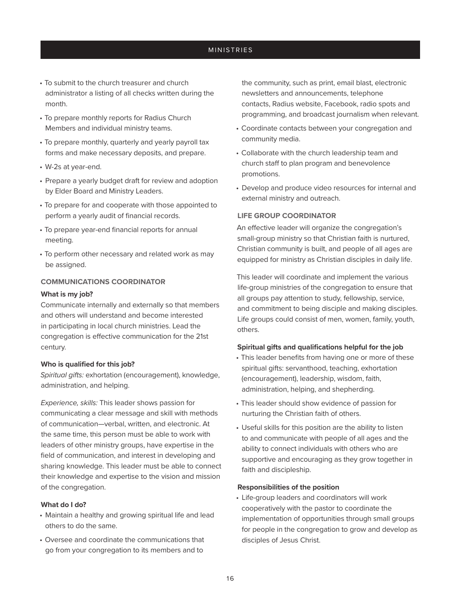- To submit to the church treasurer and church administrator a listing of all checks written during the month.
- To prepare monthly reports for Radius Church Members and individual ministry teams.
- To prepare monthly, quarterly and yearly payroll tax forms and make necessary deposits, and prepare.
- W-2s at year-end.
- Prepare a yearly budget draft for review and adoption by Elder Board and Ministry Leaders.
- To prepare for and cooperate with those appointed to perform a yearly audit of financial records.
- To prepare year-end financial reports for annual meeting.
- To perform other necessary and related work as may be assigned.

### **COMMUNICATIONS COORDINATOR**

#### **What is my job?**

Communicate internally and externally so that members and others will understand and become interested in participating in local church ministries. Lead the congregation is effective communication for the 21st century.

#### **Who is qualified for this job?**

*Spiritual gifts:* exhortation (encouragement), knowledge, administration, and helping.

*Experience, skills:* This leader shows passion for communicating a clear message and skill with methods of communication—verbal, written, and electronic. At the same time, this person must be able to work with leaders of other ministry groups, have expertise in the field of communication, and interest in developing and sharing knowledge. This leader must be able to connect their knowledge and expertise to the vision and mission of the congregation.

#### **What do I do?**

- Maintain a healthy and growing spiritual life and lead others to do the same.
- Oversee and coordinate the communications that go from your congregation to its members and to

the community, such as print, email blast, electronic newsletters and announcements, telephone contacts, Radius website, Facebook, radio spots and programming, and broadcast journalism when relevant.

- Coordinate contacts between your congregation and community media.
- Collaborate with the church leadership team and church staff to plan program and benevolence promotions.
- Develop and produce video resources for internal and external ministry and outreach.

### **LIFE GROUP COORDINATOR**

An effective leader will organize the congregation's small-group ministry so that Christian faith is nurtured, Christian community is built, and people of all ages are equipped for ministry as Christian disciples in daily life.

This leader will coordinate and implement the various life-group ministries of the congregation to ensure that all groups pay attention to study, fellowship, service, and commitment to being disciple and making disciples. Life groups could consist of men, women, family, youth, others.

#### **Spiritual gifts and qualifications helpful for the job**

- This leader benefits from having one or more of these spiritual gifts: servanthood, teaching, exhortation (encouragement), leadership, wisdom, faith, administration, helping, and shepherding.
- This leader should show evidence of passion for nurturing the Christian faith of others.
- Useful skills for this position are the ability to listen to and communicate with people of all ages and the ability to connect individuals with others who are supportive and encouraging as they grow together in faith and discipleship.

#### **Responsibilities of the position**

• Life-group leaders and coordinators will work cooperatively with the pastor to coordinate the implementation of opportunities through small groups for people in the congregation to grow and develop as disciples of Jesus Christ.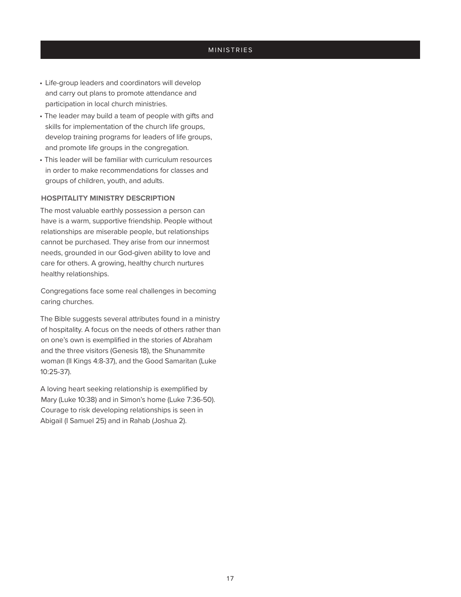- Life-group leaders and coordinators will develop and carry out plans to promote attendance and participation in local church ministries.
- The leader may build a team of people with gifts and skills for implementation of the church life groups, develop training programs for leaders of life groups, and promote life groups in the congregation.
- This leader will be familiar with curriculum resources in order to make recommendations for classes and groups of children, youth, and adults.

#### **HOSPITALITY MINISTRY DESCRIPTION**

The most valuable earthly possession a person can have is a warm, supportive friendship. People without relationships are miserable people, but relationships cannot be purchased. They arise from our innermost needs, grounded in our God-given ability to love and care for others. A growing, healthy church nurtures healthy relationships.

Congregations face some real challenges in becoming caring churches.

The Bible suggests several attributes found in a ministry of hospitality. A focus on the needs of others rather than on one's own is exemplified in the stories of Abraham and the three visitors (Genesis 18), the Shunammite woman (II Kings 4:8-37), and the Good Samaritan (Luke 10:25-37).

A loving heart seeking relationship is exemplified by Mary (Luke 10:38) and in Simon's home (Luke 7:36-50). Courage to risk developing relationships is seen in Abigail (I Samuel 25) and in Rahab (Joshua 2).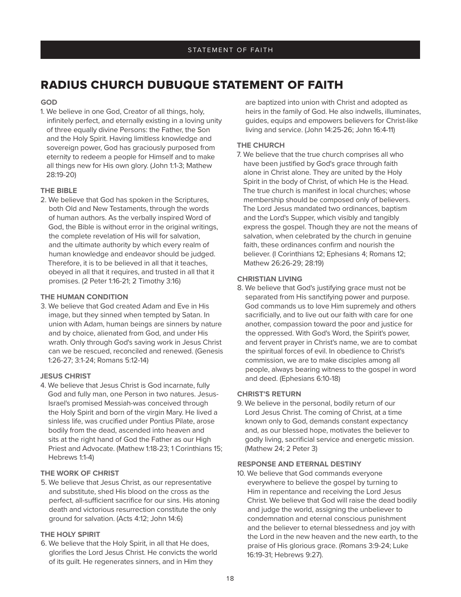## RADIUS CHURCH DUBUQUE STATEMENT OF FAITH

#### **GOD**

1. We believe in one God, Creator of all things, holy, infinitely perfect, and eternally existing in a loving unity of three equally divine Persons: the Father, the Son and the Holy Spirit. Having limitless knowledge and sovereign power, God has graciously purposed from eternity to redeem a people for Himself and to make all things new for His own glory. (John 1:1-3; Mathew 28:19-20)

#### **THE BIBLE**

2. We believe that God has spoken in the Scriptures, both Old and New Testaments, through the words of human authors. As the verbally inspired Word of God, the Bible is without error in the original writings, the complete revelation of His will for salvation, and the ultimate authority by which every realm of human knowledge and endeavor should be judged. Therefore, it is to be believed in all that it teaches, obeyed in all that it requires, and trusted in all that it promises. (2 Peter 1:16-21; 2 Timothy 3:16)

#### **THE HUMAN CONDITION**

3. We believe that God created Adam and Eve in His image, but they sinned when tempted by Satan. In union with Adam, human beings are sinners by nature and by choice, alienated from God, and under His wrath. Only through God's saving work in Jesus Christ can we be rescued, reconciled and renewed. (Genesis 1:26-27; 3:1-24; Romans 5:12-14)

#### **JESUS CHRIST**

4. We believe that Jesus Christ is God incarnate, fully God and fully man, one Person in two natures. Jesus-Israel's promised Messiah-was conceived through the Holy Spirit and born of the virgin Mary. He lived a sinless life, was crucified under Pontius Pilate, arose bodily from the dead, ascended into heaven and sits at the right hand of God the Father as our High Priest and Advocate. (Mathew 1:18-23; 1 Corinthians 15; Hebrews 1:1-4)

#### **THE WORK OF CHRIST**

5. We believe that Jesus Christ, as our representative and substitute, shed His blood on the cross as the perfect, all-sufficient sacrifice for our sins. His atoning death and victorious resurrection constitute the only ground for salvation. (Acts 4:12; John 14:6)

### **THE HOLY SPIRIT**

6. We believe that the Holy Spirit, in all that He does, glorifies the Lord Jesus Christ. He convicts the world of its guilt. He regenerates sinners, and in Him they

are baptized into union with Christ and adopted as heirs in the family of God. He also indwells, illuminates, guides, equips and empowers believers for Christ-like living and service. (John 14:25-26; John 16:4-11)

### **THE CHURCH**

7. We believe that the true church comprises all who have been justified by God's grace through faith alone in Christ alone. They are united by the Holy Spirit in the body of Christ, of which He is the Head. The true church is manifest in local churches; whose membership should be composed only of believers. The Lord Jesus mandated two ordinances, baptism and the Lord's Supper, which visibly and tangibly express the gospel. Though they are not the means of salvation, when celebrated by the church in genuine faith, these ordinances confirm and nourish the believer. (I Corinthians 12; Ephesians 4; Romans 12; Mathew 26:26-29; 28:19)

#### **CHRISTIAN LIVING**

8. We believe that God's justifying grace must not be separated from His sanctifying power and purpose. God commands us to love Him supremely and others sacrificially, and to live out our faith with care for one another, compassion toward the poor and justice for the oppressed. With God's Word, the Spirit's power, and fervent prayer in Christ's name, we are to combat the spiritual forces of evil. In obedience to Christ's commission, we are to make disciples among all people, always bearing witness to the gospel in word and deed. (Ephesians 6:10-18)

#### **CHRIST'S RETURN**

9. We believe in the personal, bodily return of our Lord Jesus Christ. The coming of Christ, at a time known only to God, demands constant expectancy and, as our blessed hope, motivates the believer to godly living, sacrificial service and energetic mission. (Mathew 24; 2 Peter 3)

### **RESPONSE AND ETERNAL DESTINY**

10. We believe that God commands everyone everywhere to believe the gospel by turning to Him in repentance and receiving the Lord Jesus Christ. We believe that God will raise the dead bodily and judge the world, assigning the unbeliever to condemnation and eternal conscious punishment and the believer to eternal blessedness and joy with the Lord in the new heaven and the new earth, to the praise of His glorious grace. (Romans 3:9-24; Luke 16:19-31; Hebrews 9:27).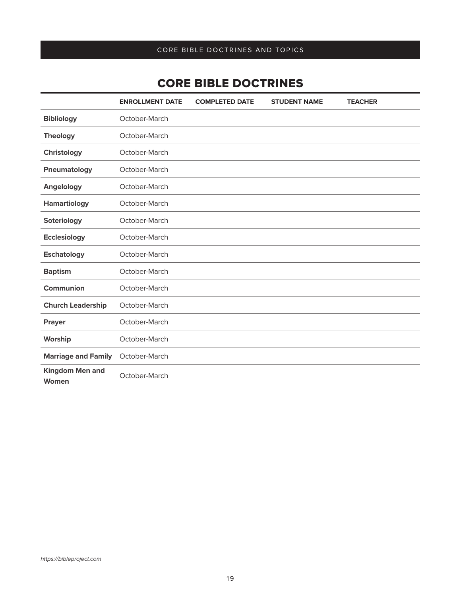## CORE BIBLE DOCTRINES

|                                 | <b>ENROLLMENT DATE</b> | <b>COMPLETED DATE</b> | <b>STUDENT NAME</b> | <b>TEACHER</b> |
|---------------------------------|------------------------|-----------------------|---------------------|----------------|
| <b>Bibliology</b>               | October-March          |                       |                     |                |
| <b>Theology</b>                 | October-March          |                       |                     |                |
| Christology                     | October-March          |                       |                     |                |
| Pneumatology                    | October-March          |                       |                     |                |
| Angelology                      | October-March          |                       |                     |                |
| <b>Hamartiology</b>             | October-March          |                       |                     |                |
| Soteriology                     | October-March          |                       |                     |                |
| <b>Ecclesiology</b>             | October-March          |                       |                     |                |
| <b>Eschatology</b>              | October-March          |                       |                     |                |
| <b>Baptism</b>                  | October-March          |                       |                     |                |
| Communion                       | October-March          |                       |                     |                |
| <b>Church Leadership</b>        | October-March          |                       |                     |                |
| Prayer                          | October-March          |                       |                     |                |
| Worship                         | October-March          |                       |                     |                |
| <b>Marriage and Family</b>      | October-March          |                       |                     |                |
| <b>Kingdom Men and</b><br>Women | October-March          |                       |                     |                |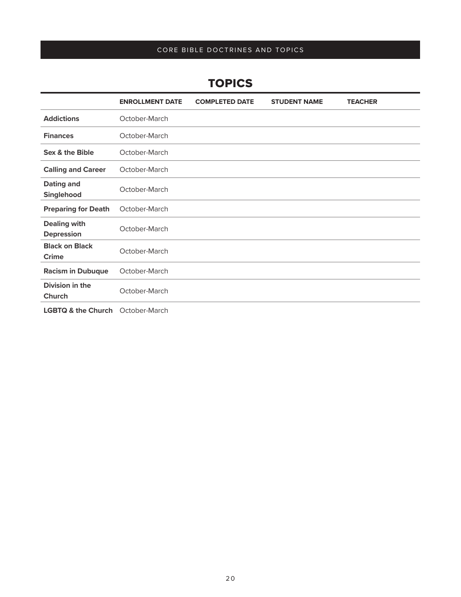## **TOPICS**

|                                          | <b>ENROLLMENT DATE</b> | <b>COMPLETED DATE</b> | <b>STUDENT NAME</b> | <b>TEACHER</b> |
|------------------------------------------|------------------------|-----------------------|---------------------|----------------|
| <b>Addictions</b>                        | October-March          |                       |                     |                |
| <b>Finances</b>                          | October-March          |                       |                     |                |
| Sex & the Bible                          | October-March          |                       |                     |                |
| <b>Calling and Career</b>                | October-March          |                       |                     |                |
| <b>Dating and</b><br>Singlehood          | October-March          |                       |                     |                |
| <b>Preparing for Death</b>               | October-March          |                       |                     |                |
| <b>Dealing with</b><br><b>Depression</b> | October-March          |                       |                     |                |
| <b>Black on Black</b><br><b>Crime</b>    | October-March          |                       |                     |                |
| <b>Racism in Dubuque</b>                 | October-March          |                       |                     |                |
| Division in the<br><b>Church</b>         | October-March          |                       |                     |                |
|                                          | .                      |                       |                     |                |

**LGBTQ & the Church** October-March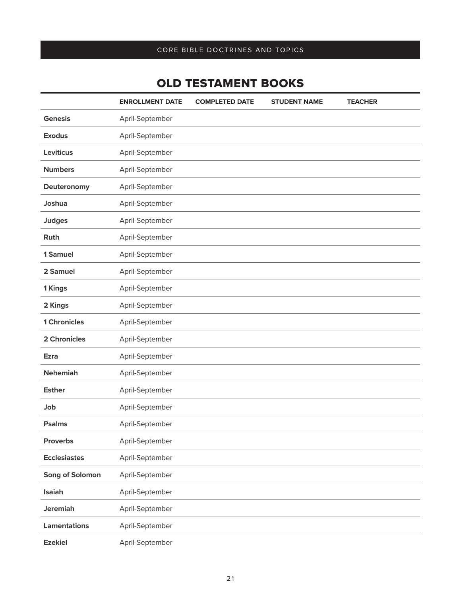## OLD TESTAMENT BOOKS

|                     | <b>ENROLLMENT DATE</b> | <b>COMPLETED DATE</b> | <b>STUDENT NAME</b> | <b>TEACHER</b> |
|---------------------|------------------------|-----------------------|---------------------|----------------|
| <b>Genesis</b>      | April-September        |                       |                     |                |
| <b>Exodus</b>       | April-September        |                       |                     |                |
| <b>Leviticus</b>    | April-September        |                       |                     |                |
| <b>Numbers</b>      | April-September        |                       |                     |                |
| Deuteronomy         | April-September        |                       |                     |                |
| Joshua              | April-September        |                       |                     |                |
| <b>Judges</b>       | April-September        |                       |                     |                |
| Ruth                | April-September        |                       |                     |                |
| 1 Samuel            | April-September        |                       |                     |                |
| 2 Samuel            | April-September        |                       |                     |                |
| 1 Kings             | April-September        |                       |                     |                |
| 2 Kings             | April-September        |                       |                     |                |
| <b>1 Chronicles</b> | April-September        |                       |                     |                |
| 2 Chronicles        | April-September        |                       |                     |                |
| <b>Ezra</b>         | April-September        |                       |                     |                |
| <b>Nehemiah</b>     | April-September        |                       |                     |                |
| <b>Esther</b>       | April-September        |                       |                     |                |
| Job                 | April-September        |                       |                     |                |
| <b>Psalms</b>       | April-September        |                       |                     |                |
| <b>Proverbs</b>     | April-September        |                       |                     |                |
| <b>Ecclesiastes</b> | April-September        |                       |                     |                |
| Song of Solomon     | April-September        |                       |                     |                |
| Isaiah              | April-September        |                       |                     |                |
| <b>Jeremiah</b>     | April-September        |                       |                     |                |
| <b>Lamentations</b> | April-September        |                       |                     |                |
| <b>Ezekiel</b>      | April-September        |                       |                     |                |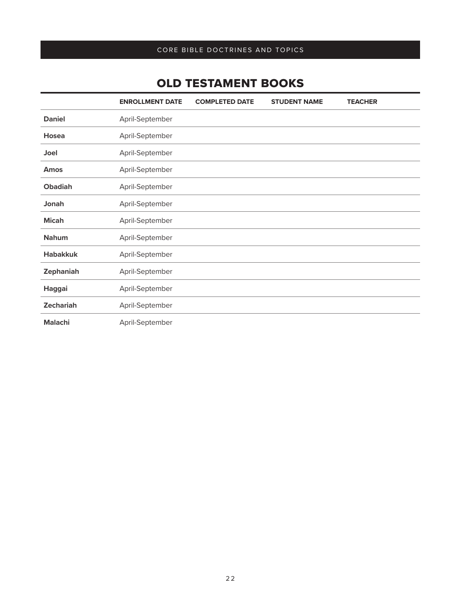## OLD TESTAMENT BOOKS

|                  | <b>ENROLLMENT DATE</b> | <b>COMPLETED DATE</b> | <b>STUDENT NAME</b> | <b>TEACHER</b> |
|------------------|------------------------|-----------------------|---------------------|----------------|
| <b>Daniel</b>    | April-September        |                       |                     |                |
| Hosea            | April-September        |                       |                     |                |
| <b>Joel</b>      | April-September        |                       |                     |                |
| <b>Amos</b>      | April-September        |                       |                     |                |
| <b>Obadiah</b>   | April-September        |                       |                     |                |
| Jonah            | April-September        |                       |                     |                |
| <b>Micah</b>     | April-September        |                       |                     |                |
| <b>Nahum</b>     | April-September        |                       |                     |                |
| <b>Habakkuk</b>  | April-September        |                       |                     |                |
| Zephaniah        | April-September        |                       |                     |                |
| Haggai           | April-September        |                       |                     |                |
| <b>Zechariah</b> | April-September        |                       |                     |                |
| <b>Malachi</b>   | April-September        |                       |                     |                |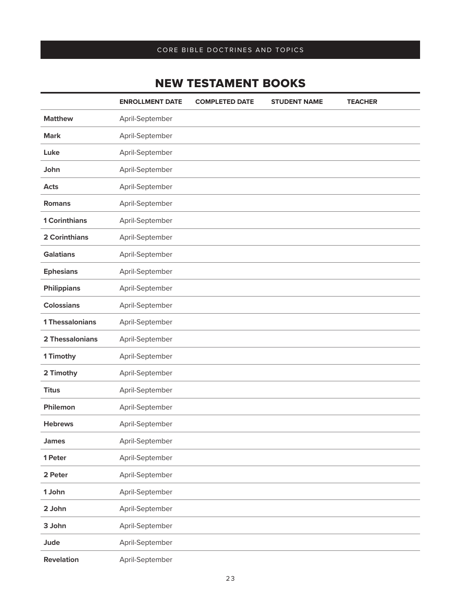## NEW TESTAMENT BOOKS

|                        | <b>ENROLLMENT DATE</b> | <b>COMPLETED DATE</b> | <b>STUDENT NAME</b> | <b>TEACHER</b> |
|------------------------|------------------------|-----------------------|---------------------|----------------|
| <b>Matthew</b>         | April-September        |                       |                     |                |
| <b>Mark</b>            | April-September        |                       |                     |                |
| Luke                   | April-September        |                       |                     |                |
| John                   | April-September        |                       |                     |                |
| <b>Acts</b>            | April-September        |                       |                     |                |
| <b>Romans</b>          | April-September        |                       |                     |                |
| <b>1 Corinthians</b>   | April-September        |                       |                     |                |
| 2 Corinthians          | April-September        |                       |                     |                |
| <b>Galatians</b>       | April-September        |                       |                     |                |
| <b>Ephesians</b>       | April-September        |                       |                     |                |
| <b>Philippians</b>     | April-September        |                       |                     |                |
| <b>Colossians</b>      | April-September        |                       |                     |                |
| <b>1 Thessalonians</b> | April-September        |                       |                     |                |
| 2 Thessalonians        | April-September        |                       |                     |                |
| 1 Timothy              | April-September        |                       |                     |                |
| 2 Timothy              | April-September        |                       |                     |                |
| <b>Titus</b>           | April-September        |                       |                     |                |
| <b>Philemon</b>        | April-September        |                       |                     |                |
| <b>Hebrews</b>         | April-September        |                       |                     |                |
| <b>James</b>           | April-September        |                       |                     |                |
| 1 Peter                | April-September        |                       |                     |                |
| 2 Peter                | April-September        |                       |                     |                |
| 1 John                 | April-September        |                       |                     |                |
| 2 John                 | April-September        |                       |                     |                |
| 3 John                 | April-September        |                       |                     |                |
| Jude                   | April-September        |                       |                     |                |
| <b>Revelation</b>      | April-September        |                       |                     |                |